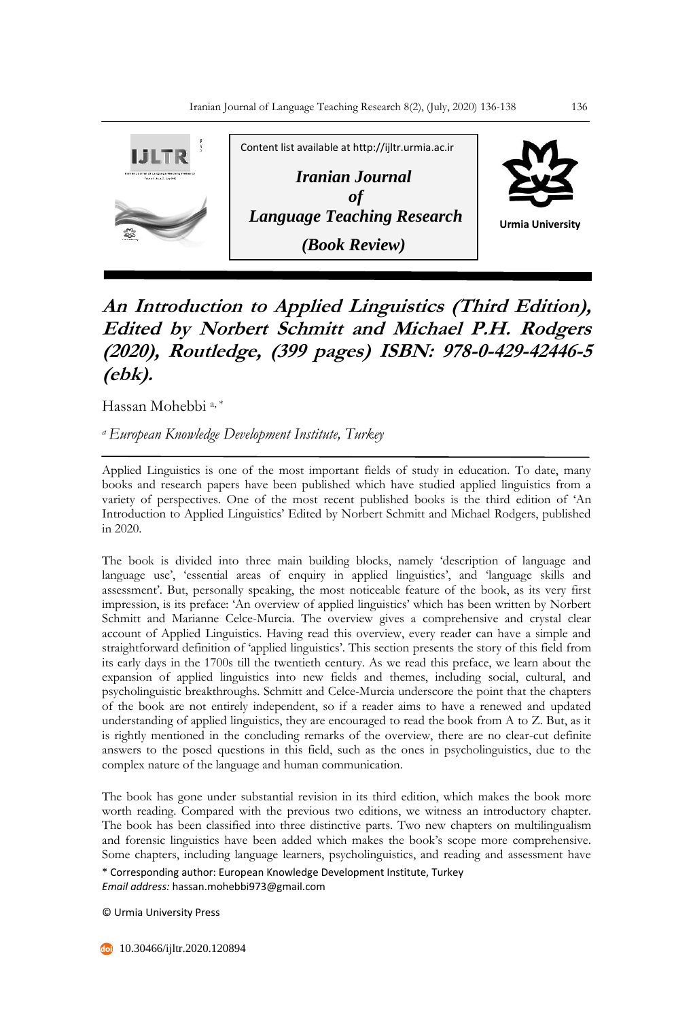

## **An Introduction to Applied Linguistics (Third Edition), Edited by Norbert Schmitt and Michael P.H. Rodgers (2020), Routledge, (399 pages) ISBN: 978-0-429-42446-5 (ebk).**

Hassan Mohebbi<sup>a,\*</sup>

*<sup>a</sup>European Knowledge Development Institute, Turkey* 

Applied Linguistics is one of the most important fields of study in education. To date, many books and research papers have been published which have studied applied linguistics from a variety of perspectives. One of the most recent published books is the third edition of 'An Introduction to Applied Linguistics' Edited by Norbert Schmitt and Michael Rodgers, published in 2020.

The book is divided into three main building blocks, namely 'description of language and language use', 'essential areas of enquiry in applied linguistics', and 'language skills and assessment'. But, personally speaking, the most noticeable feature of the book, as its very first impression, is its preface: 'An overview of applied linguistics' which has been written by Norbert Schmitt and Marianne Celce-Murcia. The overview gives a comprehensive and crystal clear account of Applied Linguistics. Having read this overview, every reader can have a simple and straightforward definition of 'applied linguistics'. This section presents the story of this field from its early days in the 1700s till the twentieth century. As we read this preface, we learn about the expansion of applied linguistics into new fields and themes, including social, cultural, and psycholinguistic breakthroughs. Schmitt and Celce-Murcia underscore the point that the chapters of the book are not entirely independent, so if a reader aims to have a renewed and updated understanding of applied linguistics, they are encouraged to read the book from A to Z. But, as it is rightly mentioned in the concluding remarks of the overview, there are no clear-cut definite answers to the posed questions in this field, such as the ones in psycholinguistics, due to the complex nature of the language and human communication.

\* Corresponding author: European Knowledge Development Institute, Turkey The book has gone under substantial revision in its third edition, which makes the book more worth reading. Compared with the previous two editions, we witness an introductory chapter. The book has been classified into three distinctive parts. Two new chapters on multilingualism and forensic linguistics have been added which makes the book's scope more comprehensive. Some chapters, including language learners, psycholinguistics, and reading and assessment have

*Email address:* hassan.mohebbi973@gmail.com

© Urmia University Press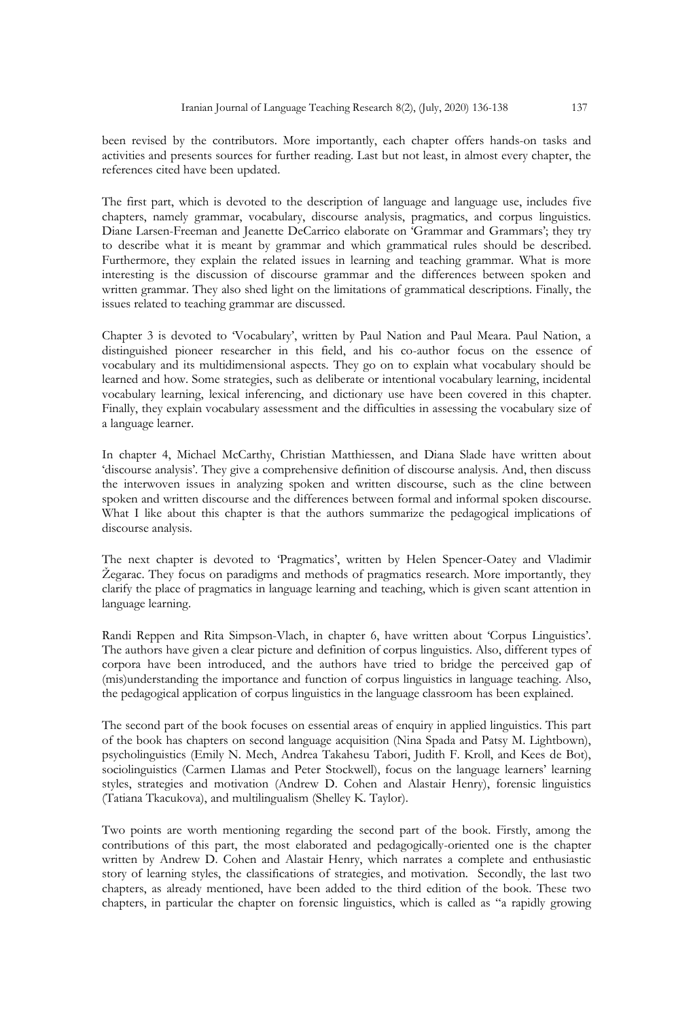been revised by the contributors. More importantly, each chapter offers hands-on tasks and activities and presents sources for further reading. Last but not least, in almost every chapter, the references cited have been updated.

The first part, which is devoted to the description of language and language use, includes five chapters, namely grammar, vocabulary, discourse analysis, pragmatics, and corpus linguistics. Diane Larsen-Freeman and Jeanette DeCarrico elaborate on 'Grammar and Grammars'; they try to describe what it is meant by grammar and which grammatical rules should be described. Furthermore, they explain the related issues in learning and teaching grammar. What is more interesting is the discussion of discourse grammar and the differences between spoken and written grammar. They also shed light on the limitations of grammatical descriptions. Finally, the issues related to teaching grammar are discussed.

Chapter 3 is devoted to 'Vocabulary', written by Paul Nation and Paul Meara. Paul Nation, a distinguished pioneer researcher in this field, and his co-author focus on the essence of vocabulary and its multidimensional aspects. They go on to explain what vocabulary should be learned and how. Some strategies, such as deliberate or intentional vocabulary learning, incidental vocabulary learning, lexical inferencing, and dictionary use have been covered in this chapter. Finally, they explain vocabulary assessment and the difficulties in assessing the vocabulary size of a language learner.

In chapter 4, Michael McCarthy, Christian Matthiessen, and Diana Slade have written about 'discourse analysis'. They give a comprehensive definition of discourse analysis. And, then discuss the interwoven issues in analyzing spoken and written discourse, such as the cline between spoken and written discourse and the differences between formal and informal spoken discourse. What I like about this chapter is that the authors summarize the pedagogical implications of discourse analysis.

The next chapter is devoted to 'Pragmatics', written by Helen Spencer-Oatey and Vladimir Žegarac. They focus on paradigms and methods of pragmatics research. More importantly, they clarify the place of pragmatics in language learning and teaching, which is given scant attention in language learning.

Randi Reppen and Rita Simpson-Vlach, in chapter 6, have written about 'Corpus Linguistics'. The authors have given a clear picture and definition of corpus linguistics. Also, different types of corpora have been introduced, and the authors have tried to bridge the perceived gap of (mis)understanding the importance and function of corpus linguistics in language teaching. Also, the pedagogical application of corpus linguistics in the language classroom has been explained.

The second part of the book focuses on essential areas of enquiry in applied linguistics. This part of the book has chapters on second language acquisition (Nina Spada and Patsy M. Lightbown), psycholinguistics (Emily N. Mech, Andrea Takahesu Tabori, Judith F. Kroll, and Kees de Bot), sociolinguistics (Carmen Llamas and Peter Stockwell), focus on the language learners' learning styles, strategies and motivation (Andrew D. Cohen and Alastair Henry), forensic linguistics (Tatiana Tkacukova), and multilingualism (Shelley K. Taylor).

Two points are worth mentioning regarding the second part of the book. Firstly, among the contributions of this part, the most elaborated and pedagogically-oriented one is the chapter written by Andrew D. Cohen and Alastair Henry, which narrates a complete and enthusiastic story of learning styles, the classifications of strategies, and motivation. Secondly, the last two chapters, as already mentioned, have been added to the third edition of the book. These two chapters, in particular the chapter on forensic linguistics, which is called as "a rapidly growing